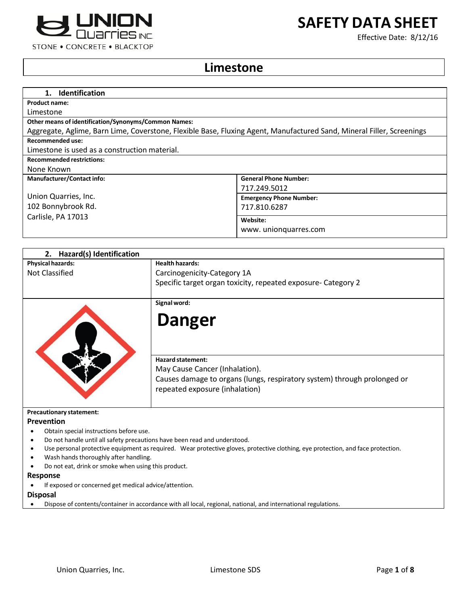

**SAFETY DATA SHEET**

Effective Date: 8/12/16

# **Limestone**

| 1. Identification                                                                                                     |                                |
|-----------------------------------------------------------------------------------------------------------------------|--------------------------------|
| <b>Product name:</b>                                                                                                  |                                |
| Limestone                                                                                                             |                                |
| <b>Other means of identification/Synonyms/Common Names:</b>                                                           |                                |
| Aggregate, Aglime, Barn Lime, Coverstone, Flexible Base, Fluxing Agent, Manufactured Sand, Mineral Filler, Screenings |                                |
| <b>Recommended use:</b>                                                                                               |                                |
| Limestone is used as a construction material.                                                                         |                                |
| <b>Recommended restrictions:</b>                                                                                      |                                |
| None Known                                                                                                            |                                |
| <b>Manufacturer/Contact info:</b>                                                                                     | <b>General Phone Number:</b>   |
|                                                                                                                       | 717.249.5012                   |
| Union Quarries, Inc.                                                                                                  | <b>Emergency Phone Number:</b> |
| 102 Bonnybrook Rd.                                                                                                    | 717.810.6287                   |
| Carlisle, PA 17013                                                                                                    | Website:                       |
|                                                                                                                       | www.unionguarres.com           |
|                                                                                                                       |                                |

| 2. Hazard(s) Identification             |                                                                                                                                                                          |
|-----------------------------------------|--------------------------------------------------------------------------------------------------------------------------------------------------------------------------|
| <b>Physical hazards:</b>                | <b>Health hazards:</b>                                                                                                                                                   |
| Not Classified                          | Carcinogenicity-Category 1A                                                                                                                                              |
|                                         | Specific target organ toxicity, repeated exposure- Category 2                                                                                                            |
|                                         | Signal word:                                                                                                                                                             |
|                                         | <b>Danger</b>                                                                                                                                                            |
|                                         | <b>Hazard statement:</b><br>May Cause Cancer (Inhalation).<br>Causes damage to organs (lungs, respiratory system) through prolonged or<br>repeated exposure (inhalation) |
| <b>Precautionary statement:</b>         |                                                                                                                                                                          |
| <b>Prevention</b>                       |                                                                                                                                                                          |
| Obtain special instructions before use. |                                                                                                                                                                          |
|                                         | Do not handle until all safety precautions have been read and understood.                                                                                                |
|                                         | Use personal protective equipment as required. Wear protective gloves, protective clothing, eye protection, and face protection.                                         |

- Wash hands thoroughly after handling.
- Do not eat, drink or smoke when using this product.

#### **Response**

If exposed or concerned get medical advice/attention.

**Disposal**

Dispose of contents/container in accordance with all local, regional, national, and international regulations.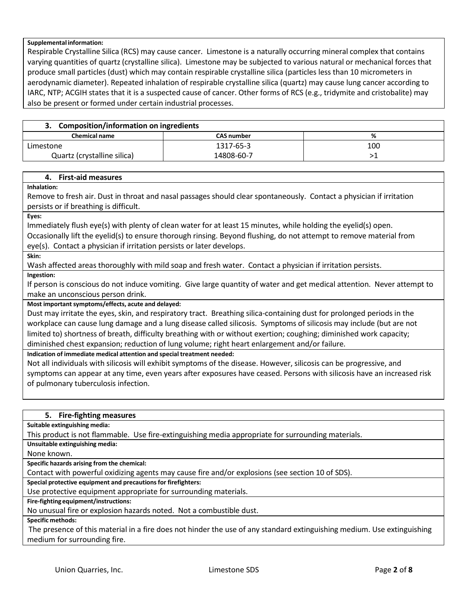#### **Supplemental information:**

Respirable Crystalline Silica (RCS) may cause cancer. Limestone is a naturally occurring mineral complex that contains varying quantities of quartz(crystalline silica). Limestone may be subjected to various natural or mechanical forces that produce small particles (dust) which may contain respirable crystalline silica (particles less than 10 micrometers in aerodynamic diameter). Repeated inhalation of respirable crystalline silica (quartz) may cause lung cancer according to IARC, NTP; ACGIH states that it is a suspected cause of cancer. Other forms of RCS (e.g., tridymite and cristobalite) may also be present or formed under certain industrial processes.

| <b>Composition/information on ingredients</b> |                   |     |
|-----------------------------------------------|-------------------|-----|
| <b>Chemical name</b>                          | <b>CAS number</b> | ℅   |
| Limestone                                     | 1317-65-3         | 100 |
| Quartz (crystalline silica)                   | 14808-60-7        |     |

#### **4. First-aid measures**

**Inhalation:**

Remove to fresh air. Dust in throat and nasal passages should clear spontaneously. Contact a physician if irritation persists or if breathing is difficult.

**Eyes:**

Immediately flush eye(s) with plenty of clean water for at least 15 minutes, while holding the eyelid(s) open. Occasionally lift the eyelid(s) to ensure thorough rinsing. Beyond flushing, do not attempt to remove material from eye(s). Contact a physician if irritation persists or later develops.

**Skin:**

Wash affected areas thoroughly with mild soap and fresh water. Contact a physician if irritation persists.

**Ingestion:**

If person is conscious do not induce vomiting. Give large quantity of water and get medical attention. Never attempt to make an unconscious person drink.

**Most important symptoms/effects, acute and delayed:**

Dust may irritate the eyes, skin, and respiratory tract. Breathing silica-containing dust for prolonged periods in the workplace can cause lung damage and a lung disease called silicosis. Symptoms of silicosis may include (but are not limited to) shortness of breath, difficulty breathing with or without exertion; coughing; diminished work capacity; diminished chest expansion; reduction of lung volume; right heart enlargement and/or failure.

**Indication of immediate medical attention and special treatment needed:**

Not all individuals with silicosis will exhibit symptoms of the disease. However, silicosis can be progressive, and symptoms can appear at any time, even years after exposures have ceased. Persons with silicosis have an increased risk of pulmonary tuberculosis infection.

## **5. Fire-fighting measures**

**Suitable extinguishing media:**

This product is not flammable. Use fire-extinguishing media appropriate for surrounding materials.

**Unsuitable extinguishing media:**

None known.

**Specific hazards arising from the chemical:**

Contact with powerful oxidizing agents may cause fire and/or explosions (see section 10 of SDS).

**Special protective equipment and precautionsfor firefighters:**

Use protective equipment appropriate for surrounding materials.

**Fire-fighting equipment/instructions:**

No unusual fire or explosion hazards noted. Not a combustible dust.

**Specific methods:**

The presence of this material in a fire does not hinder the use of any standard extinguishing medium. Use extinguishing medium for surrounding fire.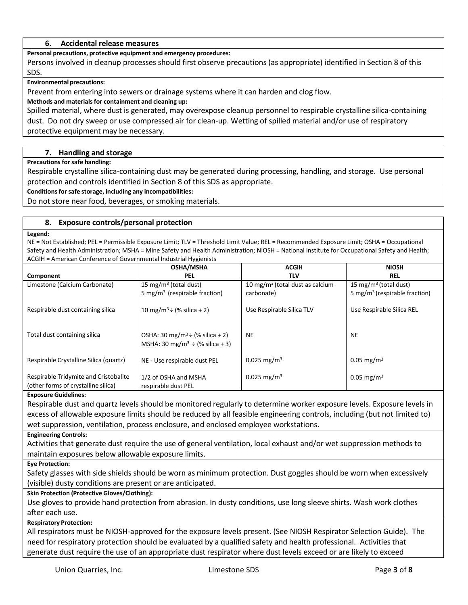#### **6. Accidental release measures**

**Personal precautions, protective equipment and emergency procedures:**

Persons involved in cleanup processes should first observe precautions (as appropriate) identified in Section 8 of this SDS.

**Environmental precautions:**

Prevent from entering into sewers or drainage systems where it can harden and clog flow.

**Methods and materials for containment and cleaning up:**

Spilled material, where dust is generated, may overexpose cleanup personnel to respirable crystalline silica-containing dust. Do not dry sweep or use compressed air for clean-up. Wetting of spilled material and/or use of respiratory protective equipment may be necessary.

#### **7. Handling and storage**

**Precautions forsafe handling:**

Respirable crystalline silica-containing dust may be generated during processing, handling, and storage. Use personal protection and controls identified in Section 8 of this SDS as appropriate.

**Conditionsforsafe storage, including any incompatibilities:**

Do not store near food, beverages, or smoking materials.

#### **8. Exposure controls/personal protection**

#### **Legend:**

NE = Not Established; PEL = Permissible Exposure Limit; TLV = Threshold Limit Value; REL = Recommended Exposure Limit; OSHA = Occupational Safety and Health Administration; MSHA = Mine Safety and Health Administration; NIOSH = National Institute for Occupational Safety and Health; ACGIH = American Conference of Governmental Industrial Hygienists

|                                        | <b>OSHA/MSHA</b>                                                                                | <b>ACGIH</b>                                | <b>NIOSH</b>                              |
|----------------------------------------|-------------------------------------------------------------------------------------------------|---------------------------------------------|-------------------------------------------|
| Component                              | <b>PEL</b>                                                                                      | <b>TLV</b>                                  | <b>REL</b>                                |
| Limestone (Calcium Carbonate)          | 15 mg/m <sup>3</sup> (total dust)                                                               | 10 mg/m <sup>3</sup> (total dust as calcium | 15 mg/m <sup>3</sup> (total dust)         |
|                                        | 5 mg/m <sup>3</sup> (respirable fraction)                                                       | carbonate)                                  | 5 mg/m <sup>3</sup> (respirable fraction) |
| Respirable dust containing silica      | 10 mg/m <sup>3</sup> ÷ (% silica + 2)                                                           | Use Respirable Silica TLV                   | Use Respirable Silica REL                 |
|                                        |                                                                                                 |                                             |                                           |
| Total dust containing silica           | OSHA: 30 mg/m <sup>3</sup> ÷ (% silica + 2)<br>MSHA: 30 mg/m <sup>3</sup> $\div$ (% silica + 3) | <b>NE</b>                                   | <b>NE</b>                                 |
|                                        |                                                                                                 |                                             |                                           |
| Respirable Crystalline Silica (quartz) | NE - Use respirable dust PEL                                                                    | $0.025$ mg/m <sup>3</sup>                   | $0.05 \text{ mg/m}^3$                     |
|                                        |                                                                                                 |                                             |                                           |
| Respirable Tridymite and Cristobalite  | 1/2 of OSHA and MSHA                                                                            | $0.025$ mg/m <sup>3</sup>                   | $0.05 \text{ mg/m}^3$                     |
| (other forms of crystalline silica)    | respirable dust PEL                                                                             |                                             |                                           |

#### **Exposure Guidelines:**

Respirable dust and quartz levels should be monitored regularly to determine worker exposure levels. Exposure levels in excess of allowable exposure limits should be reduced by all feasible engineering controls, including (but not limited to) wet suppression, ventilation, process enclosure, and enclosed employee workstations.

#### **Engineering Controls:**

Activities that generate dust require the use of general ventilation, local exhaust and/or wet suppression methods to maintain exposures below allowable exposure limits.

**Eye Protection:**

Safety glasses with side shields should be worn as minimum protection. Dust goggles should be worn when excessively (visible) dusty conditions are present or are anticipated.

#### **Skin Protection (Protective Gloves/Clothing):**

Use gloves to provide hand protection from abrasion. In dusty conditions, use long sleeve shirts. Wash work clothes after each use.

#### **Respiratory Protection:**

All respirators must be NIOSH-approved for the exposure levels present. (See NIOSH Respirator Selection Guide). The need for respiratory protection should be evaluated by a qualified safety and health professional. Activities that generate dust require the use of an appropriate dust respirator where dust levels exceed or are likely to exceed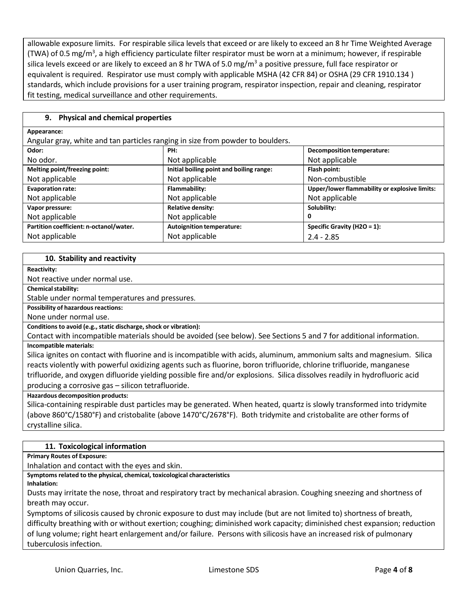allowable exposure limits. For respirable silica levels that exceed or are likely to exceed an 8 hr Time Weighted Average (TWA) of 0.5 mg/m<sup>3</sup>, a high efficiency particulate filter respirator must be worn at a minimum; however, if respirable silica levels exceed or are likely to exceed an 8 hr TWA of 5.0 mg/m<sup>3</sup> a positive pressure, full face respirator or equivalent is required. Respirator use must comply with applicable MSHA (42 CFR 84) or OSHA (29 CFR 1910.134 ) standards, which include provisions for a user training program, respirator inspection, repair and cleaning, respirator fit testing, medical surveillance and other requirements.

# **9. Physical and chemical properties**

#### **Appearance:**

Angular gray, white and tan particles ranging in size from powder to boulders.

| Odor:                                   | PH:                                      | <b>Decomposition temperature:</b>             |
|-----------------------------------------|------------------------------------------|-----------------------------------------------|
| No odor.                                | Not applicable                           | Not applicable                                |
| Melting point/freezing point:           | Initial boiling point and boiling range: | Flash point:                                  |
| Not applicable                          | Not applicable                           | Non-combustible                               |
| <b>Evaporation rate:</b>                | Flammability:                            | Upper/lower flammability or explosive limits: |
| Not applicable                          | Not applicable                           | Not applicable                                |
| Vapor pressure:                         | <b>Relative density:</b>                 | Solubility:                                   |
| Not applicable                          | Not applicable                           | 0                                             |
| Partition coefficient: n-octanol/water. | <b>Autoignition temperature:</b>         | Specific Gravity (H2O = 1):                   |
| Not applicable                          | Not applicable                           | $2.4 - 2.85$                                  |

## **10. Stability and reactivity**

**Reactivity:**

Not reactive under normal use.

**Chemical stability:** 

Stable under normal temperatures and pressures.

**Possibility of hazardous reactions:** 

None under normal use.

**Conditions to avoid (e.g., static discharge, shock or vibration):** 

Contact with incompatible materials should be avoided (see below). See Sections 5 and 7 for additional information. **Incompatible materials:**

Silica ignites on contact with fluorine and is incompatible with acids, aluminum, ammonium salts and magnesium. Silica reacts violently with powerful oxidizing agents such as fluorine, boron trifluoride, chlorine trifluoride, manganese trifluoride, and oxygen difluoride yielding possible fire and/or explosions. Silica dissolves readily in hydrofluoric acid producing a corrosive gas – silicon tetrafluoride.

**Hazardous decomposition products:**

Silica-containing respirable dust particles may be generated. When heated, quartz is slowly transformed into tridymite (above 860°C/1580°F) and cristobalite (above 1470°C/2678°F). Both tridymite and cristobalite are other forms of crystalline silica.

# **11. Toxicological information**

**Primary Routes of Exposure:**

Inhalation and contact with the eyes and skin.

**Symptoms related to the physical, chemical, toxicological characteristics**

**Inhalation:**

Dusts may irritate the nose, throat and respiratory tract by mechanical abrasion. Coughing sneezing and shortness of breath may occur.

Symptoms of silicosis caused by chronic exposure to dust may include (but are not limited to) shortness of breath, difficulty breathing with or without exertion; coughing; diminished work capacity; diminished chest expansion; reduction of lung volume; right heart enlargement and/or failure. Persons with silicosis have an increased risk of pulmonary tuberculosis infection.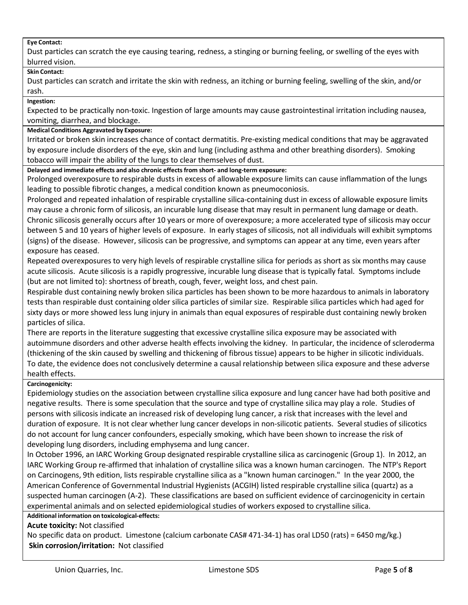## **Eye Contact:**

Dust particles can scratch the eye causing tearing, redness, a stinging or burning feeling, or swelling of the eyes with blurred vision.

## **Skin Contact:**

Dust particles can scratch and irritate the skin with redness, an itching or burning feeling, swelling of the skin, and/or rash.

**Ingestion:**

Expected to be practically non-toxic. Ingestion of large amounts may cause gastrointestinal irritation including nausea, vomiting, diarrhea, and blockage.

## **Medical Conditions Aggravated by Exposure:**

Irritated or broken skin increases chance of contact dermatitis. Pre-existing medical conditions that may be aggravated by exposure include disorders of the eye, skin and lung (including asthma and other breathing disorders). Smoking tobacco will impair the ability of the lungs to clear themselves of dust.

## **Delayed and immediate effects and also chronic effectsfrom short- and long-term exposure:**

Prolonged overexposure to respirable dusts in excess of allowable exposure limits can cause inflammation of the lungs leading to possible fibrotic changes, a medical condition known as pneumoconiosis.

Prolonged and repeated inhalation of respirable crystalline silica-containing dust in excess of allowable exposure limits may cause a chronic form of silicosis, an incurable lung disease that may result in permanent lung damage or death. Chronic silicosis generally occurs after 10 years or more of overexposure; a more accelerated type of silicosis may occur between 5 and 10 years of higher levels of exposure. In early stages of silicosis, not all individuals will exhibit symptoms (signs) of the disease. However, silicosis can be progressive, and symptoms can appear at any time, even years after exposure has ceased.

Repeated overexposures to very high levels of respirable crystalline silica for periods as short as six months may cause acute silicosis. Acute silicosis is a rapidly progressive, incurable lung disease that is typically fatal. Symptoms include (but are not limited to): shortness of breath, cough, fever, weight loss, and chest pain.

Respirable dust containing newly broken silica particles has been shown to be more hazardous to animals in laboratory tests than respirable dust containing older silica particles of similar size. Respirable silica particles which had aged for sixty days or more showed less lung injury in animals than equal exposures of respirable dust containing newly broken particles of silica.

There are reports in the literature suggesting that excessive crystalline silica exposure may be associated with autoimmune disorders and other adverse health effects involving the kidney. In particular, the incidence of scleroderma (thickening of the skin caused by swelling and thickening of fibrous tissue) appears to be higher in silicotic individuals. To date, the evidence does not conclusively determine a causal relationship between silica exposure and these adverse health effects.

# **Carcinogenicity:**

Epidemiology studies on the association between crystalline silica exposure and lung cancer have had both positive and negative results. There is some speculation that the source and type of crystalline silica may play a role. Studies of persons with silicosis indicate an increased risk of developing lung cancer, a risk that increases with the level and duration of exposure. It is not clear whether lung cancer develops in non-silicotic patients. Several studies of silicotics do not account for lung cancer confounders, especially smoking, which have been shown to increase the risk of developing lung disorders, including emphysema and lung cancer.

In October 1996, an IARC Working Group designated respirable crystalline silica as carcinogenic (Group 1). In 2012, an IARC Working Group re-affirmed that inhalation of crystalline silica was a known human carcinogen. The NTP's Report on Carcinogens, 9th edition, lists respirable crystalline silica as a "known human carcinogen." In the year 2000, the American Conference of Governmental Industrial Hygienists (ACGIH) listed respirable crystalline silica (quartz) as a suspected human carcinogen (A-2). These classifications are based on sufficient evidence of carcinogenicity in certain experimental animals and on selected epidemiological studies of workers exposed to crystalline silica.

# **Additional information on toxicological-effects:**

**Acute toxicity:** Not classified

No specific data on product. Limestone (calcium carbonate CAS# 471-34-1) has oral LD50 (rats) = 6450 mg/kg.) **Skin corrosion/irritation:** Not classified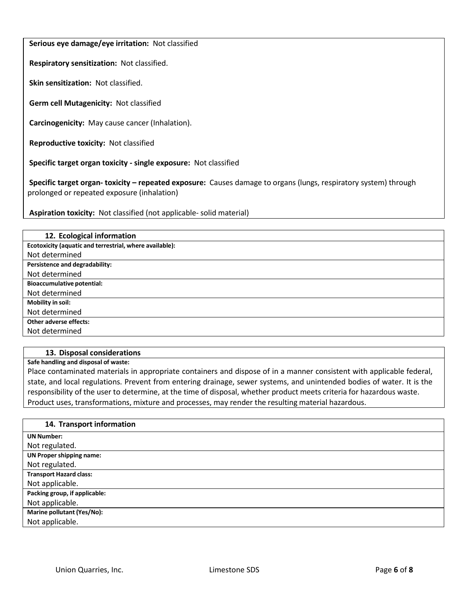# **Serious eye damage/eye irritation:** Not classified

**Respiratory sensitization:** Not classified.

**Skin sensitization:** Not classified.

**Germ cell Mutagenicity:** Not classified

**Carcinogenicity:** May cause cancer (Inhalation).

**Reproductive toxicity:** Not classified

**Specific target organ toxicity - single exposure:** Not classified

**Specific target organ- toxicity – repeated exposure:** Causes damage to organs (lungs, respiratory system) through prolonged or repeated exposure (inhalation)

**Aspiration toxicity:** Not classified (not applicable- solid material)

| 12. Ecological information                              |
|---------------------------------------------------------|
| Ecotoxicity (aquatic and terrestrial, where available): |
| Not determined                                          |
| Persistence and degradability:                          |
| Not determined                                          |
| <b>Bioaccumulative potential:</b>                       |
| Not determined                                          |
| Mobility in soil:                                       |
| Not determined                                          |
| Other adverse effects:                                  |
| Not determined                                          |

## **13. Disposal considerations**

**Safe handling and disposal of waste:**

Place contaminated materials in appropriate containers and dispose of in a manner consistent with applicable federal, state, and local regulations. Prevent from entering drainage, sewer systems, and unintended bodies of water. It is the responsibility of the user to determine, at the time of disposal, whether product meets criteria for hazardous waste. Product uses, transformations, mixture and processes, may render the resulting material hazardous.

| 14. Transport information       |
|---------------------------------|
| <b>UN Number:</b>               |
| Not regulated.                  |
| <b>UN Proper shipping name:</b> |
| Not regulated.                  |
| <b>Transport Hazard class:</b>  |
| Not applicable.                 |
| Packing group, if applicable:   |
| Not applicable.                 |
| Marine pollutant (Yes/No):      |
| Not applicable.                 |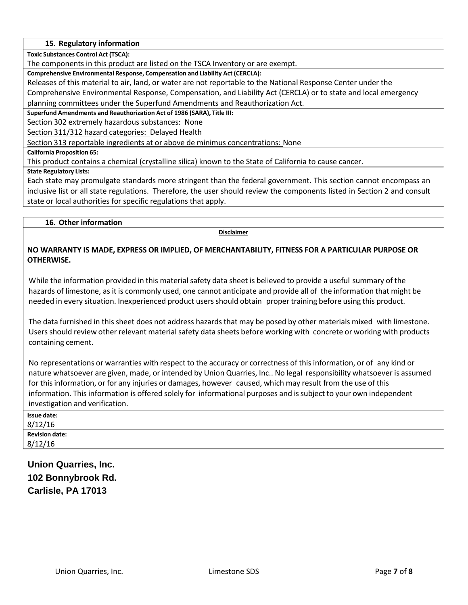## **15. Regulatory information**

**Toxic Substances Control Act (TSCA):**

The components in this product are listed on the TSCA Inventory or are exempt.

**Comprehensive Environmental Response, Compensation and Liability Act (CERCLA):**

Releases of this material to air, land, or water are not reportable to the National Response Center under the

Comprehensive Environmental Response, Compensation, and Liability Act (CERCLA) or to state and local emergency planning committees under the Superfund Amendments and Reauthorization Act.

**Superfund Amendments and Reauthorization Act of 1986 (SARA), Title III:**

Section 302 extremely hazardous substances: None

Section 311/312 hazard categories: Delayed Health

Section 313 reportable ingredients at or above de minimus concentrations: None

**California Proposition 65:**

This product contains a chemical (crystalline silica) known to the State of California to cause cancer.

**State Regulatory Lists:**

Each state may promulgate standards more stringent than the federal government. This section cannot encompass an inclusive list or all state regulations. Therefore, the user should review the components listed in Section 2 and consult state or local authorities for specific regulations that apply.

## **16. Other information**

**Disclaimer**

# **NO WARRANTY IS MADE, EXPRESS OR IMPLIED, OF MERCHANTABILITY, FITNESS FOR A PARTICULAR PURPOSE OR OTHERWISE.**

While the information provided in this material safety data sheet is believed to provide a useful summary of the hazards of limestone, as it is commonly used, one cannot anticipate and provide all of the information that might be needed in every situation. Inexperienced product users should obtain proper training before using this product.

The data furnished in this sheet does not address hazards that may be posed by other materials mixed with limestone. Users should review other relevant material safety data sheets before working with concrete or working with products containing cement.

No representations or warranties with respect to the accuracy or correctness of thisinformation, or of any kind or nature whatsoever are given, made, or intended by Union Quarries, Inc.. No legal responsibility whatsoever is assumed for thisinformation, or for any injuries or damages, however caused, which may result from the use of this information. This information is offered solely for informational purposes and issubject to your own independent investigation and verification.

| Issue date:           |  |
|-----------------------|--|
| 8/12/16               |  |
| <b>Revision date:</b> |  |
| 8/12/16               |  |
|                       |  |

**Union Quarries, Inc. 102 Bonnybrook Rd. Carlisle, PA 17013**